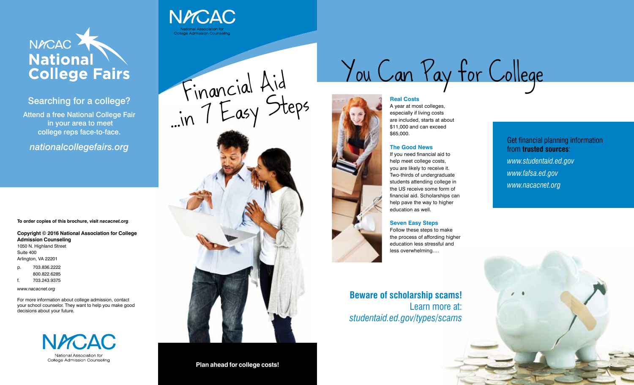

## Searching for a college?

Attend a free National College Fair in your area to meet college reps face-to-face.

*nationalcollegefairs.org* 

**To order copies of this brochure, visit** *nacacnet.org.*

#### **Copyright © 2016 National Association for College Admission Counseling** 1050 N. Highland Street Suite 400 Arlington, VA 22201

p. 703.836.2222 800.822.6285

f. 703.243.9375

*www.nacacnet.org*

For more information about college admission, contact your school counselor. They want to help you make good decisions about your future.



Financial Aid …in <sup>7</sup> Easy Steps

**NACAC** 

College Admission Counseling

#### **Plan ahead for college costs!**

You Can Pay for College

#### **Real Costs**





A year at most colleges, especially if living costs are included, starts at about \$11,000 and can exceed \$65,000.

#### **The Good News**

If you need financial aid to help meet college costs, you are likely to receive it. Two-thirds of undergraduate students attending college in the US receive some form of financial aid. Scholarships can help pave the way to higher education as well.

#### **Seven Easy Steps**

Follow these steps to make the process of affording higher education less stressful and less overwhelming….

**Beware of scholarship scams!**  Learn more at: *studentaid.ed.gov/types/scams*

Get financial planning information from **trusted sources**: *www.studentaid.ed.gov www.fafsa.ed.gov www.nacacnet.org*